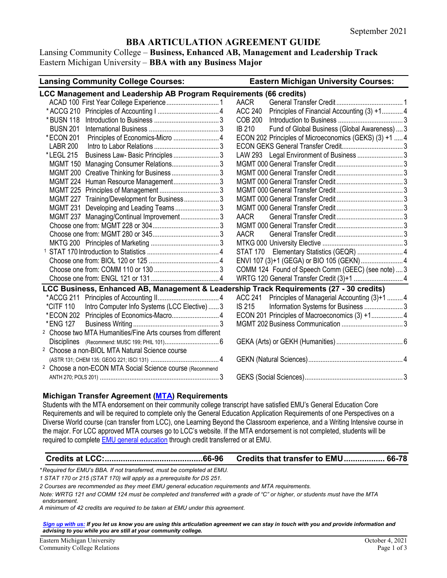# **BBA ARTICULATION AGREEMENT GUIDE**

Lansing Community College – **Business, Enhanced AB, Management and Leadership Track** Eastern Michigan University – **BBA with any Business Major**

| <b>Lansing Community College Courses:</b><br><b>Eastern Michigan University Courses:</b> |                                                               |  |  |  |  |
|------------------------------------------------------------------------------------------|---------------------------------------------------------------|--|--|--|--|
| LCC Management and Leadership AB Program Requirements (66 credits)                       |                                                               |  |  |  |  |
|                                                                                          | <b>AACR</b>                                                   |  |  |  |  |
|                                                                                          | Principles of Financial Accounting (3) +1 4<br><b>ACC 240</b> |  |  |  |  |
| * BUSN 118                                                                               | <b>COB 200</b>                                                |  |  |  |  |
| <b>BUSN 201</b>                                                                          | <b>IB 210</b><br>Fund of Global Business (Global Awareness) 3 |  |  |  |  |
| Principles of Economics-Micro  4<br>*ECON 201                                            | ECON 202 Principles of Microeconomics (GEKS) (3) +1  4        |  |  |  |  |
| LABR 200                                                                                 |                                                               |  |  |  |  |
| Business Law- Basic Principles 3<br>*LEGL 215                                            |                                                               |  |  |  |  |
| MGMT 150 Managing Consumer Relations3                                                    |                                                               |  |  |  |  |
| MGMT 200 Creative Thinking for Business  3                                               |                                                               |  |  |  |  |
| MGMT 224 Human Resource Management3                                                      |                                                               |  |  |  |  |
|                                                                                          |                                                               |  |  |  |  |
| MGMT 227 Training/Development for Business3                                              |                                                               |  |  |  |  |
| MGMT 231 Developing and Leading Teams3                                                   |                                                               |  |  |  |  |
| MGMT 237 Managing/Continual Improvement 3                                                | <b>AACR</b>                                                   |  |  |  |  |
|                                                                                          |                                                               |  |  |  |  |
|                                                                                          | AACR                                                          |  |  |  |  |
|                                                                                          |                                                               |  |  |  |  |
|                                                                                          |                                                               |  |  |  |  |
|                                                                                          |                                                               |  |  |  |  |
|                                                                                          | COMM 124 Found of Speech Comm (GEEC) (see note)  3            |  |  |  |  |
|                                                                                          |                                                               |  |  |  |  |
| LCC Business, Enhanced AB, Management & Leadership Track Requirements (27 - 30 credits)  |                                                               |  |  |  |  |
|                                                                                          | ACC 241 Principles of Managerial Accounting (3)+1  4          |  |  |  |  |
| Intro Computer Info Systems (LCC Elective)  3<br>*CITF 110                               | <b>IS 215</b><br>Information Systems for Business  3          |  |  |  |  |
| *ECON 202 Principles of Economics-Macro 4                                                | ECON 201 Principles of Macroeconomics (3) +1 4                |  |  |  |  |
| *ENG 127                                                                                 |                                                               |  |  |  |  |
| <sup>2</sup> Choose two MTA Humanities/Fine Arts courses from different                  |                                                               |  |  |  |  |
|                                                                                          |                                                               |  |  |  |  |
| <sup>2</sup> Choose a non-BIOL MTA Natural Science course                                |                                                               |  |  |  |  |
|                                                                                          |                                                               |  |  |  |  |
| <sup>2</sup> Choose a non-ECON MTA Social Science course (Recommend                      |                                                               |  |  |  |  |
|                                                                                          |                                                               |  |  |  |  |

#### **Michigan Transfer Agreement [\(MTA\)](https://app.emich.edu/transfereq/storage/CG-1414-MICHIGAN%20TRANSFER%20AGREEMENT%20(MTA)%20GUIDE.pdf) Requirements**

Students with the MTA endorsement on their community college transcript have satisfied EMU's General Education Core Requirements and will be required to complete only the General Education Application Requirements of one Perspectives on a Diverse World course (can transfer from LCC), one Learning Beyond the Classroom experience, and a Writing Intensive course in the major. For LCC approved MTA courses go to LCC's website. If the MTA endorsement is not completed, students will be required to complet[e EMU general education](https://app.emich.edu/transfereq/storage/CG-1414-GENERAL%20EDUCATION%20GUIDE.pdf) through credit transferred or at EMU.

#### **Credits at LCC:...........................................66-96 Credits that transfer to EMU.................. 66-78**

*\* Required for EMU's BBA. If not transferred, must be completed at EMU.* 

*1 STAT 170 or 215 (STAT 170) will apply as a prerequisite for DS 251.* 

*2 Courses are recommended as they meet EMU general education requirements and MTA requirements.* 

*Note: WRTG 121 and COMM 124 must be completed and transferred with a grade of "C" or higher, or students must have the MTA endorsement.* 

*A minimum of 42 credits are required to be taken at EMU under this agreement.*

*[Sign up with us:](https://www.emich.edu/ccr/articulation-agreements/signup.php) If you let us know you are using this articulation agreement we can stay in touch with you and provide information and advising to you while you are still at your community college.*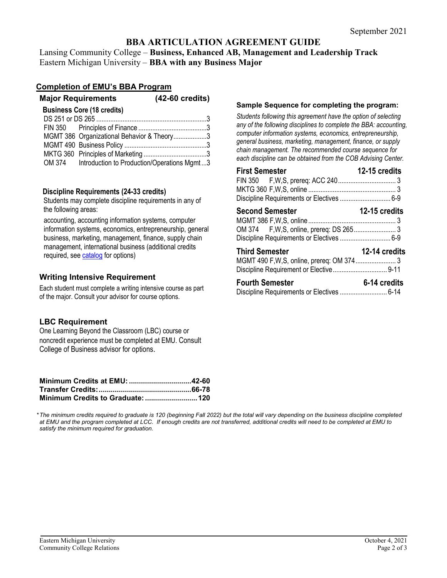# **BBA ARTICULATION AGREEMENT GUIDE**

Lansing Community College – **Business, Enhanced AB, Management and Leadership Track** Eastern Michigan University – **BBA with any Business Major**

## **Completion of EMU's BBA Program**

| <b>Major Requirements</b> |  |                                                    | $(42-60 \text{ credits})$ |
|---------------------------|--|----------------------------------------------------|---------------------------|
|                           |  | <b>Business Core (18 credits)</b>                  |                           |
|                           |  |                                                    |                           |
|                           |  |                                                    |                           |
|                           |  | MGMT 386 Organizational Behavior & Theory3         |                           |
|                           |  |                                                    |                           |
|                           |  |                                                    |                           |
|                           |  | OM 374 Introduction to Production/Operations Mgmt3 |                           |
|                           |  |                                                    |                           |

#### **Discipline Requirements (24-33 credits)**

Students may complete discipline requirements in any of the following areas:

accounting, accounting information systems, computer information systems, economics, entrepreneurship, general business, marketing, management, finance, supply chain management, international business (additional credits required, se[e catalog](file://emufiles/common/Academic_Affairs/aps-comm-college-relations/Articulation%20Agreement%20Renewals%202021%20and%20later/BBA/catalog.emich.edu) for options)

### **Writing Intensive Requirement**

Each student must complete a writing intensive course as part of the major. Consult your advisor for course options.

## **LBC Requirement**

One Learning Beyond the Classroom (LBC) course or noncredit experience must be completed at EMU. Consult College of Business advisor for options.

*\*The minimum credits required to graduate is 120 (beginning Fall 2022) but the total will vary depending on the business discipline completed at EMU and the program completed at LCC. If enough credits are not transferred, additional credits will need to be completed at EMU to satisfy the minimum required for graduation.*

#### **Sample Sequence for completing the program:**

*Students following this agreement have the option of selecting any of the following disciplines to complete the BBA: accounting, computer information systems, economics, entrepreneurship, general business, marketing, management, finance, or supply chain management. The recommended course sequence for each discipline can be obtained from the COB Advising Center.* 

| <b>First Semester</b>                     | 12-15 credits        |
|-------------------------------------------|----------------------|
|                                           |                      |
|                                           |                      |
| Discipline Requirements or Electives  6-9 |                      |
| <b>Second Semester</b>                    | <b>12-15 credits</b> |
| Discipline Requirements or Electives  6-9 |                      |
| <b>Third Semester</b>                     | 12-14 credits        |
| <b>Fourth Semester</b>                    | 6-14 credits         |